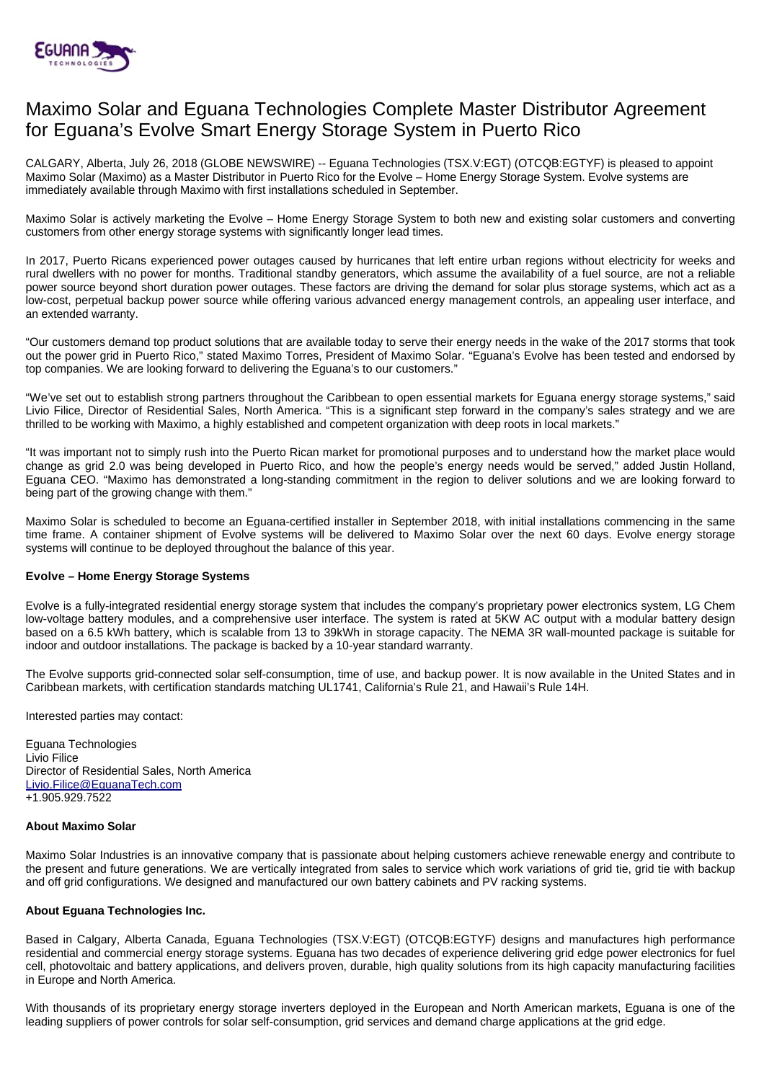

# Maximo Solar and Eguana Technologies Complete Master Distributor Agreement for Eguana's Evolve Smart Energy Storage System in Puerto Rico

CALGARY, Alberta, July 26, 2018 (GLOBE NEWSWIRE) -- Eguana Technologies (TSX.V:EGT) (OTCQB:EGTYF) is pleased to appoint Maximo Solar (Maximo) as a Master Distributor in Puerto Rico for the Evolve – Home Energy Storage System. Evolve systems are immediately available through Maximo with first installations scheduled in September.

Maximo Solar is actively marketing the Evolve – Home Energy Storage System to both new and existing solar customers and converting customers from other energy storage systems with significantly longer lead times.

In 2017, Puerto Ricans experienced power outages caused by hurricanes that left entire urban regions without electricity for weeks and rural dwellers with no power for months. Traditional standby generators, which assume the availability of a fuel source, are not a reliable power source beyond short duration power outages. These factors are driving the demand for solar plus storage systems, which act as a low-cost, perpetual backup power source while offering various advanced energy management controls, an appealing user interface, and an extended warranty.

"Our customers demand top product solutions that are available today to serve their energy needs in the wake of the 2017 storms that took out the power grid in Puerto Rico," stated Maximo Torres, President of Maximo Solar. "Eguana's Evolve has been tested and endorsed by top companies. We are looking forward to delivering the Eguana's to our customers."

"We've set out to establish strong partners throughout the Caribbean to open essential markets for Eguana energy storage systems," said Livio Filice, Director of Residential Sales, North America. "This is a significant step forward in the company's sales strategy and we are thrilled to be working with Maximo, a highly established and competent organization with deep roots in local markets."

"It was important not to simply rush into the Puerto Rican market for promotional purposes and to understand how the market place would change as grid 2.0 was being developed in Puerto Rico, and how the people's energy needs would be served," added Justin Holland, Eguana CEO. "Maximo has demonstrated a long-standing commitment in the region to deliver solutions and we are looking forward to being part of the growing change with them."

Maximo Solar is scheduled to become an Eguana-certified installer in September 2018, with initial installations commencing in the same time frame. A container shipment of Evolve systems will be delivered to Maximo Solar over the next 60 days. Evolve energy storage systems will continue to be deployed throughout the balance of this year.

## **Evolve – Home Energy Storage Systems**

Evolve is a fully-integrated residential energy storage system that includes the company's proprietary power electronics system, LG Chem low-voltage battery modules, and a comprehensive user interface. The system is rated at 5KW AC output with a modular battery design based on a 6.5 kWh battery, which is scalable from 13 to 39kWh in storage capacity. The NEMA 3R wall-mounted package is suitable for indoor and outdoor installations. The package is backed by a 10-year standard warranty.

The Evolve supports grid-connected solar self-consumption, time of use, and backup power. It is now available in the United States and in Caribbean markets, with certification standards matching UL1741, California's Rule 21, and Hawaii's Rule 14H.

Interested parties may contact:

Eguana Technologies Livio Filice Director of Residential Sales, North America [Livio.Filice@EguanaTech.com](mailto:Livio.Filice@EguanaTech.com) +1.905.929.7522

#### **About Maximo Solar**

Maximo Solar Industries is an innovative company that is passionate about helping customers achieve renewable energy and contribute to the present and future generations. We are vertically integrated from sales to service which work variations of grid tie, grid tie with backup and off grid configurations. We designed and manufactured our own battery cabinets and PV racking systems.

#### **About Eguana Technologies Inc.**

Based in Calgary, Alberta Canada, Eguana Technologies (TSX.V:EGT) (OTCQB:EGTYF) designs and manufactures high performance residential and commercial energy storage systems. Eguana has two decades of experience delivering grid edge power electronics for fuel cell, photovoltaic and battery applications, and delivers proven, durable, high quality solutions from its high capacity manufacturing facilities in Europe and North America.

With thousands of its proprietary energy storage inverters deployed in the European and North American markets, Eguana is one of the leading suppliers of power controls for solar self-consumption, grid services and demand charge applications at the grid edge.